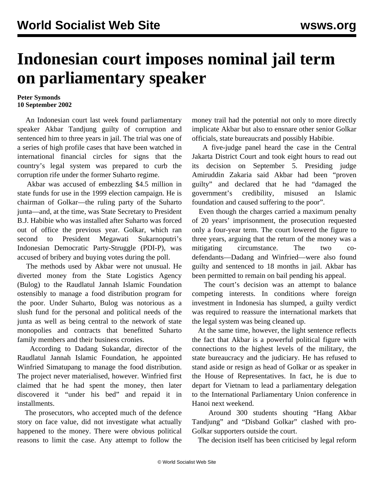## **Indonesian court imposes nominal jail term on parliamentary speaker**

## **Peter Symonds 10 September 2002**

 An Indonesian court last week found parliamentary speaker Akbar Tandjung guilty of corruption and sentenced him to three years in jail. The trial was one of a series of high profile cases that have been watched in international financial circles for signs that the country's legal system was prepared to curb the corruption rife under the former Suharto regime.

 Akbar was accused of embezzling \$4.5 million in state funds for use in the 1999 election campaign. He is chairman of Golkar—the ruling party of the Suharto junta—and, at the time, was State Secretary to President B.J. Habibie who was installed after Suharto was forced out of office the previous year. Golkar, which ran second to President Megawati Sukarnoputri's Indonesian Democratic Party-Struggle (PDI-P), was accused of bribery and buying votes during the poll.

 The methods used by Akbar were not unusual. He diverted money from the State Logistics Agency (Bulog) to the Raudlatul Jannah Islamic Foundation ostensibly to manage a food distribution program for the poor. Under Suharto, Bulog was notorious as a slush fund for the personal and political needs of the junta as well as being central to the network of state monopolies and contracts that benefitted Suharto family members and their business cronies.

 According to Dadang Sukandar, director of the Raudlatul Jannah Islamic Foundation, he appointed Winfried Simatupang to manage the food distribution. The project never materialised, however. Winfried first claimed that he had spent the money, then later discovered it "under his bed" and repaid it in installments.

 The prosecutors, who accepted much of the defence story on face value, did not investigate what actually happened to the money. There were obvious political reasons to limit the case. Any attempt to follow the money trail had the potential not only to more directly implicate Akbar but also to ensnare other senior Golkar officials, state bureaucrats and possibly Habibie.

 A five-judge panel heard the case in the Central Jakarta District Court and took eight hours to read out its decision on September 5. Presiding judge Amiruddin Zakaria said Akbar had been "proven guilty" and declared that he had "damaged the government's credibility, misused an Islamic foundation and caused suffering to the poor".

 Even though the charges carried a maximum penalty of 20 years' imprisonment, the prosecution requested only a four-year term. The court lowered the figure to three years, arguing that the return of the money was a mitigating circumstance. The two codefendants—Dadang and Winfried—were also found guilty and sentenced to 18 months in jail. Akbar has been permitted to remain on bail pending his appeal.

 The court's decision was an attempt to balance competing interests. In conditions where foreign investment in Indonesia has slumped, a guilty verdict was required to reassure the international markets that the legal system was being cleaned up.

 At the same time, however, the light sentence reflects the fact that Akbar is a powerful political figure with connections to the highest levels of the military, the state bureaucracy and the judiciary. He has refused to stand aside or resign as head of Golkar or as speaker in the House of Representatives. In fact, he is due to depart for Vietnam to lead a parliamentary delegation to the International Parliamentary Union conference in Hanoi next weekend.

 Around 300 students shouting "Hang Akbar Tandjung" and "Disband Golkar" clashed with pro-Golkar supporters outside the court.

The decision itself has been criticised by legal reform